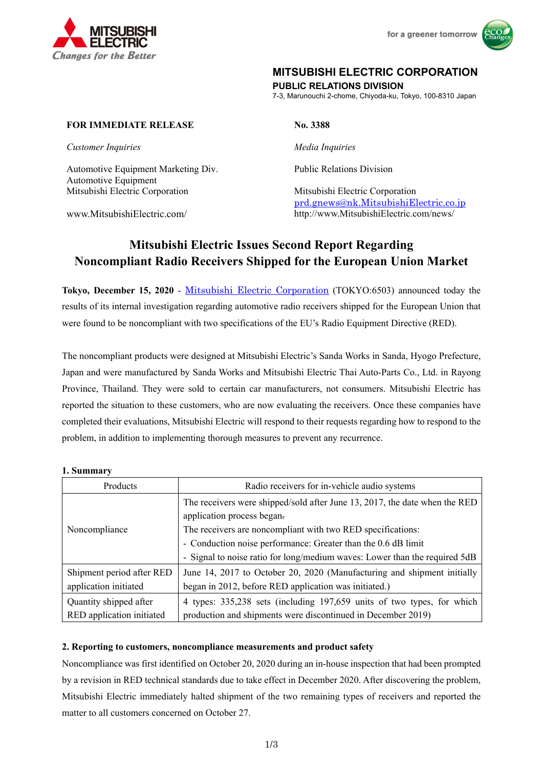



## **MITSUBISHI ELECTRIC CORPORATION**

**PUBLIC RELATIONS DIVISION** 

7-3, Marunouchi 2-chome, Chiyoda-ku, Tokyo, 100-8310 Japan

### **FOR IMMEDIATE RELEASE No. 3388**

*Customer Inquiries Media Inquiries* 

Automotive Equipment Marketing Div. Public Relations Division Automotive Equipment Mitsubishi Electric Corporation Mitsubishi Electric Corporation

prd.gnews@nk.MitsubishiElectric.co.jp www.MitsubishiElectric.com/ http://www.MitsubishiElectric.com/news/

# **Mitsubishi Electric Issues Second Report Regarding Noncompliant Radio Receivers Shipped for the European Union Market**

**Tokyo, December 15, 2020** - Mitsubishi Electric Corporation (TOKYO:6503) announced today the results of its internal investigation regarding automotive radio receivers shipped for the European Union that were found to be noncompliant with two specifications of the EU's Radio Equipment Directive (RED).

The noncompliant products were designed at Mitsubishi Electric's Sanda Works in Sanda, Hyogo Prefecture, Japan and were manufactured by Sanda Works and Mitsubishi Electric Thai Auto-Parts Co., Ltd. in Rayong Province, Thailand. They were sold to certain car manufacturers, not consumers. Mitsubishi Electric has reported the situation to these customers, who are now evaluating the receivers. Once these companies have completed their evaluations, Mitsubishi Electric will respond to their requests regarding how to respond to the problem, in addition to implementing thorough measures to prevent any recurrence.

#### **1. Summary**

| Products                  | Radio receivers for in-vehicle audio systems                               |
|---------------------------|----------------------------------------------------------------------------|
| Noncompliance             | The receivers were shipped/sold after June 13, 2017, the date when the RED |
|                           | application process began.                                                 |
|                           | The receivers are noncompliant with two RED specifications:                |
|                           | - Conduction noise performance: Greater than the 0.6 dB limit              |
|                           | - Signal to noise ratio for long/medium waves: Lower than the required 5dB |
| Shipment period after RED | June 14, 2017 to October 20, 2020 (Manufacturing and shipment initially    |
| application initiated     | began in 2012, before RED application was initiated.)                      |
| Quantity shipped after    | 4 types: 335,238 sets (including 197,659 units of two types, for which     |
| RED application initiated | production and shipments were discontinued in December 2019)               |

#### **2. Reporting to customers, noncompliance measurements and product safety**

Noncompliance was first identified on October 20, 2020 during an in-house inspection that had been prompted by a revision in RED technical standards due to take effect in December 2020. After discovering the problem, Mitsubishi Electric immediately halted shipment of the two remaining types of receivers and reported the matter to all customers concerned on October 27.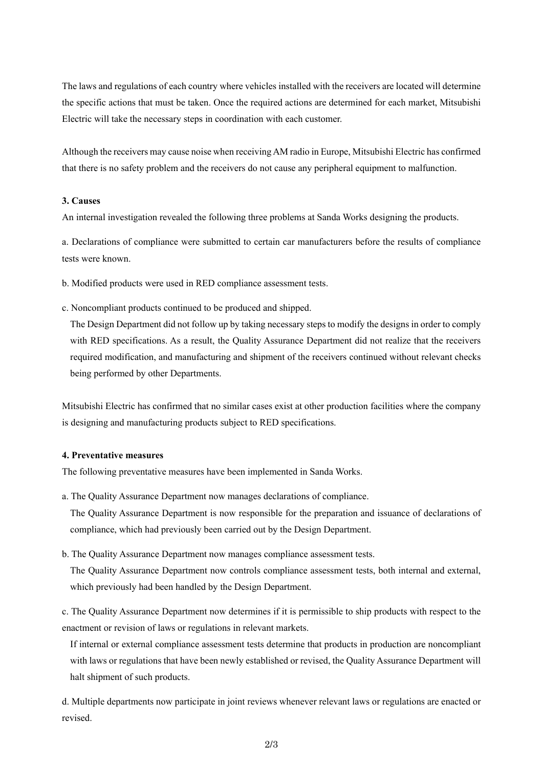The laws and regulations of each country where vehicles installed with the receivers are located will determine the specific actions that must be taken. Once the required actions are determined for each market, Mitsubishi Electric will take the necessary steps in coordination with each customer.

Although the receivers may cause noise when receiving AM radio in Europe, Mitsubishi Electric has confirmed that there is no safety problem and the receivers do not cause any peripheral equipment to malfunction.

#### **3. Causes**

An internal investigation revealed the following three problems at Sanda Works designing the products.

a. Declarations of compliance were submitted to certain car manufacturers before the results of compliance tests were known.

- b. Modified products were used in RED compliance assessment tests.
- c. Noncompliant products continued to be produced and shipped.

The Design Department did not follow up by taking necessary steps to modify the designs in order to comply with RED specifications. As a result, the Quality Assurance Department did not realize that the receivers required modification, and manufacturing and shipment of the receivers continued without relevant checks being performed by other Departments.

Mitsubishi Electric has confirmed that no similar cases exist at other production facilities where the company is designing and manufacturing products subject to RED specifications.

#### **4. Preventative measures**

The following preventative measures have been implemented in Sanda Works.

a. The Quality Assurance Department now manages declarations of compliance.

The Quality Assurance Department is now responsible for the preparation and issuance of declarations of compliance, which had previously been carried out by the Design Department.

b. The Quality Assurance Department now manages compliance assessment tests.

The Quality Assurance Department now controls compliance assessment tests, both internal and external, which previously had been handled by the Design Department.

c. The Quality Assurance Department now determines if it is permissible to ship products with respect to the enactment or revision of laws or regulations in relevant markets.

If internal or external compliance assessment tests determine that products in production are noncompliant with laws or regulations that have been newly established or revised, the Quality Assurance Department will halt shipment of such products.

d. Multiple departments now participate in joint reviews whenever relevant laws or regulations are enacted or revised.